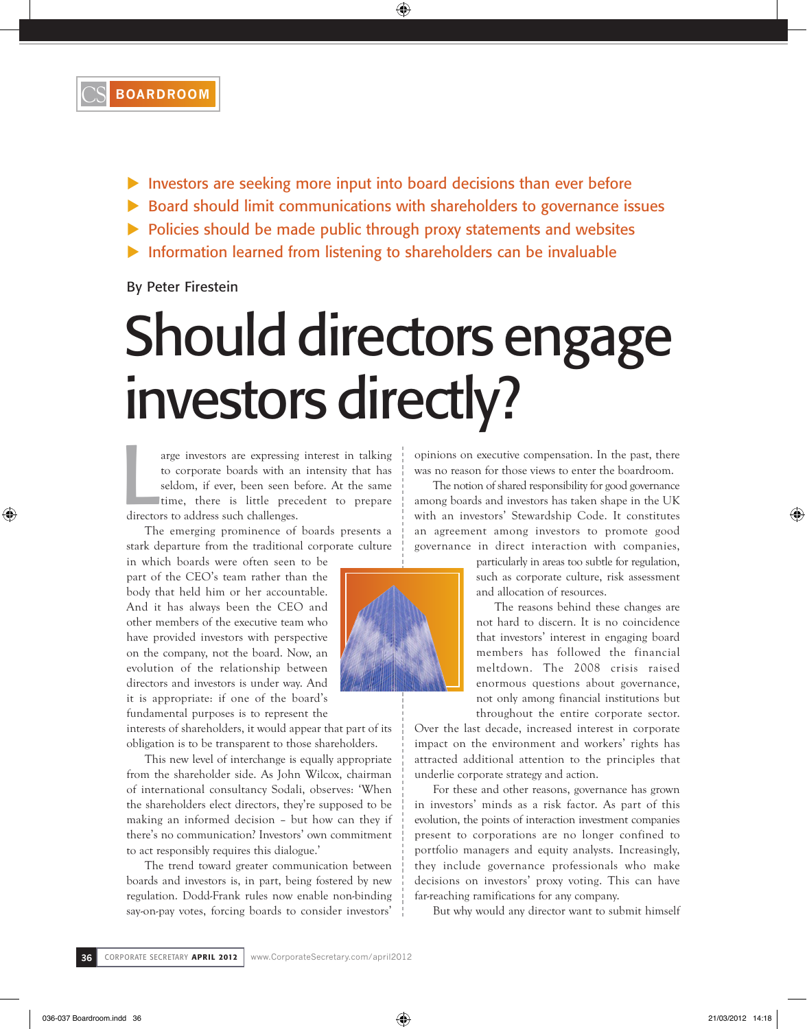

- $\blacktriangleright$  Investors are seeking more input into board decisions than ever before
- ▶ Board should limit communications with shareholders to governance issues
- $\triangleright$  Policies should be made public through proxy statements and websites
- $\blacktriangleright$  Information learned from listening to shareholders can be invaluable

By Peter Firestein

## Should directors engage investors directly?

arge investors are expressing<br>to corporate boards with an<br>seldom, if ever, been seen b<br>time, there is little prece<br>directors to address such challenges. arge investors are expressing interest in talking to corporate boards with an intensity that has seldom, if ever, been seen before. At the same time, there is little precedent to prepare

The emerging prominence of boards presents a stark departure from the traditional corporate culture

in which boards were often seen to be part of the CEO's team rather than the body that held him or her accountable. And it has always been the CEO and other members of the executive team who have provided investors with perspective on the company, not the board. Now, an evolution of the relationship between directors and investors is under way. And it is appropriate: if one of the board's fundamental purposes is to represent the

interests of shareholders, it would appear that part of its obligation is to be transparent to those shareholders.

This new level of interchange is equally appropriate from the shareholder side. As John Wilcox, chairman of international consultancy Sodali, observes: 'When the shareholders elect directors, they're supposed to be making an informed decision – but how can they if there's no communication? Investors' own commitment to act responsibly requires this dialogue.'

The trend toward greater communication between boards and investors is, in part, being fostered by new regulation. Dodd-Frank rules now enable non-binding say-on-pay votes, forcing boards to consider investors'

opinions on executive compensation. In the past, there was no reason for those views to enter the boardroom.

The notion of shared responsibility for good governance among boards and investors has taken shape in the UK with an investors' Stewardship Code. It constitutes an agreement among investors to promote good governance in direct interaction with companies,

> particularly in areas too subtle for regulation, such as corporate culture, risk assessment and allocation of resources.

> The reasons behind these changes are not hard to discern. It is no coincidence that investors' interest in engaging board members has followed the financial meltdown. The 2008 crisis raised enormous questions about governance, not only among financial institutions but throughout the entire corporate sector.

Over the last decade, increased interest in corporate impact on the environment and workers' rights has attracted additional attention to the principles that underlie corporate strategy and action.

For these and other reasons, governance has grown in investors' minds as a risk factor. As part of this evolution, the points of interaction investment companies present to corporations are no longer confined to portfolio managers and equity analysts. Increasingly, they include governance professionals who make decisions on investors' proxy voting. This can have far-reaching ramifications for any company.

But why would any director want to submit himself